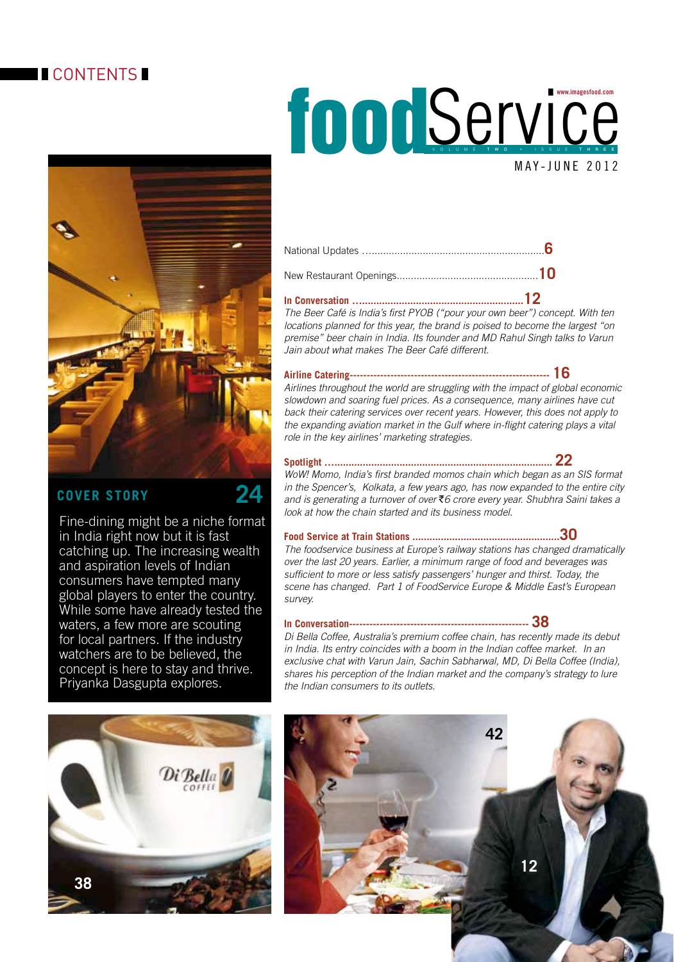## **CONTENTS**



### **Cover Story 24**

Fine-dining might be a niche format in India right now but it is fast catching up. The increasing wealth and aspiration levels of Indian consumers have tempted many global players to enter the country. While some have already tested the waters, a few more are scouting for local partners. If the industry watchers are to be believed, the concept is here to stay and thrive. Priyanka Dasgupta explores.



# **FOODSERVICE** MAY-JUNE 2012 V o l U M E t w o • I s s u e t h r e e

#### **In Conversation ….........................................................12**

*The Beer Café is India's first PYOB ("pour your own beer") concept. With ten locations planned for this year, the brand is poised to become the largest "on premise" beer chain in India. Its founder and MD Rahul Singh talks to Varun Jain about what makes The Beer Café different.* 

#### **Airline Catering----------------------------------------------------------- 16**

*Airlines throughout the world are struggling with the impact of global economic slowdown and soaring fuel prices. As a consequence, many airlines have cut back their catering services over recent years. However, this does not apply to the expanding aviation market in the Gulf where in-flight catering plays a vital role in the key airlines' marketing strategies.* 

#### **Spotlight …............................................................................. 22**

*WoW! Momo, India's first branded momos chain which began as an SIS format in the Spencer's, Kolkata, a few years ago, has now expanded to the entire city and is generating a turnover of over* `*6 crore every year. Shubhra Saini takes a look at how the chain started and its business model.* 

#### **Food Service at Train Stations ....................................................30**

*The foodservice business at Europe's railway stations has changed dramatically over the last 20 years. Earlier, a minimum range of food and beverages was sufficient to more or less satisfy passengers' hunger and thirst. Today, the scene has changed. Part 1 of FoodService Europe & Middle East's European survey.* 

#### **In Conversation----------------------------------------------------- 38**

*Di Bella Coffee, Australia's premium coffee chain, has recently made its debut in India. Its entry coincides with a boom in the Indian coffee market. In an exclusive chat with Varun Jain, Sachin Sabharwal, MD, Di Bella Coffee (India), shares his perception of the Indian market and the company's strategy to lure the Indian consumers to its outlets.*